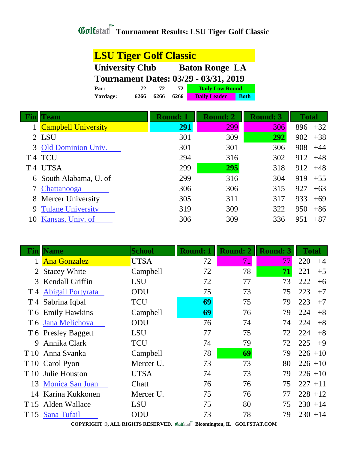| <b>LSU Tiger Golf Classic</b>                   |      |      |      |                                              |             |  |
|-------------------------------------------------|------|------|------|----------------------------------------------|-------------|--|
| <b>University Club</b><br><b>Baton Rouge LA</b> |      |      |      |                                              |             |  |
|                                                 |      |      |      | <b>Tournament Dates: 03/29 - 03/31, 2019</b> |             |  |
| Par:                                            | 72.  | 72.  | 72.  | <b>Daily Low Round</b>                       |             |  |
| Yardage:                                        | 6266 | 6266 | 6266 | <b>Daily Leader</b>                          | <b>Both</b> |  |

|    | Team                       | <b>Round: 1</b> | <b>Round: 2</b> | <b>Round: 3</b> | <b>Total</b> |
|----|----------------------------|-----------------|-----------------|-----------------|--------------|
|    | <b>Campbell University</b> | 291             | 299             | 306             | 896<br>$+32$ |
|    | 2 LSU                      | 301             | 309             | 292             | 902<br>$+38$ |
|    | 3 Old Dominion Univ.       | 301             | 301             | 306             | 908<br>$+44$ |
| T4 | <b>TCU</b>                 | 294             | 316             | 302             | 912<br>$+48$ |
| T4 | <b>UTSA</b>                | 299             | 295             | 318             | 912<br>$+48$ |
|    | 6 South Alabama, U. of     | 299             | 316             | 304             | 919<br>$+55$ |
|    | Chattanooga                | 306             | 306             | 315             | 927<br>$+63$ |
|    | 8 Mercer University        | 305             | 311             | 317             | 933<br>$+69$ |
| 9  | <b>Tulane University</b>   | 319             | 309             | 322             | 950<br>$+86$ |
| 10 | Kansas, Univ. of           | 306             | 309             | 336             | 951<br>$+87$ |

| Finll | <b>Name</b>           | <b>School</b> | <b>Round: 1</b> | <b>Round: 2</b> | <b>Round: 3</b> | <b>Total</b> |
|-------|-----------------------|---------------|-----------------|-----------------|-----------------|--------------|
|       | <b>Ana Gonzalez</b>   | <b>UTSA</b>   | 72              | 71              | 77              | 220<br>$+4$  |
| 2     | <b>Stacey White</b>   | Campbell      | 72              | 78              | 71              | 221<br>$+5$  |
|       | 3 Kendall Griffin     | <b>LSU</b>    | 72              | 77              | 73              | 222<br>$+6$  |
|       | T 4 Abigail Portyrata | ODU           | 75              | 73              | 75              | 223<br>$+7$  |
|       | T 4 Sabrina Iqbal     | <b>TCU</b>    | 69              | 75              | 79              | 223<br>$+7$  |
|       | T 6 Emily Hawkins     | Campbell      | 69              | 76              | 79              | 224<br>$+8$  |
|       | T 6 Jana Melichova    | ODU           | 76              | 74              | 74              | 224<br>$+8$  |
|       | T 6 Presley Baggett   | <b>LSU</b>    | 77              | 75              | 72              | 224<br>$+8$  |
| 9     | Annika Clark          | TCU           | 74              | 79              | 72              | 225<br>$+9$  |
|       | T 10 Anna Svanka      | Campbell      | 78              | 69              | 79              | $226 + 10$   |
|       | T 10 Carol Pyon       | Mercer U.     | 73              | 73              | 80              | $226 + 10$   |
| T 10  | Julie Houston         | <b>UTSA</b>   | 74              | 73              | 79              | $226 + 10$   |
|       | 13 Monica San Juan    | Chatt         | 76              | 76              | 75              | $227 + 11$   |
| 14    | Karina Kukkonen       | Mercer U.     | 75              | 76              | 77              | $228 + 12$   |
|       | T 15 Alden Wallace    | <b>LSU</b>    | 75              | 80              | 75              | $230 + 14$   |
|       | T 15 Sana Tufail      | ODU           | 73              | 78              | 79              | $230 + 14$   |

**COPYRIGHT ©, ALL RIGHTS RESERVED, Bloomington, IL GOLFSTAT.COM**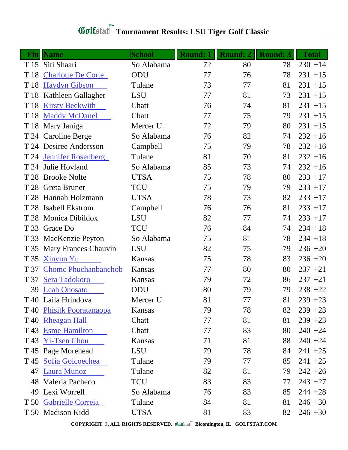## **Tournament Results: LSU Tiger Golf Classic**

| Fin  | <b>Name</b>                 | <b>School</b> | <b>Round: 1</b> | <b>Round: 2</b> | <b>Round: 3</b> | <b>Total</b> |
|------|-----------------------------|---------------|-----------------|-----------------|-----------------|--------------|
|      | T 15 Siti Shaari            | So Alabama    | 72              | 80              | 78              | $230 + 14$   |
| T 18 | <b>Charlotte De Corte</b>   | ODU           | 77              | 76              | 78              | $231 + 15$   |
| T 18 | <b>Haydyn Gibson</b>        | Tulane        | 73              | 77              | 81              | $231 + 15$   |
| T 18 | Kathleen Gallagher          | <b>LSU</b>    | 77              | 81              | 73              | $231 + 15$   |
| T 18 | <b>Kirsty Beckwith</b>      | Chatt         | 76              | 74              | 81              | $231 + 15$   |
| T 18 | <b>Maddy McDanel</b>        | Chatt         | 77              | 75              | 79              | $231 + 15$   |
|      | T 18 Mary Janiga            | Mercer U.     | 72              | 79              | 80              | $231 + 15$   |
|      | T 24 Caroline Berge         | So Alabama    | 76              | 82              | 74              | $232 + 16$   |
|      | T 24 Desiree Andersson      | Campbell      | 75              | 79              | 78              | $232 + 16$   |
| T 24 | <b>Jennifer Rosenberg</b>   | Tulane        | 81              | 70              | 81              | $232 + 16$   |
|      | T 24 Julie Hovland          | So Alabama    | 85              | 73              | 74              | $232 + 16$   |
| T 28 | <b>Brooke Nolte</b>         | <b>UTSA</b>   | 75              | 78              | 80              | $233 + 17$   |
| T 28 | Greta Bruner                | <b>TCU</b>    | 75              | 79              | 79              | $233 + 17$   |
| T 28 | Hannah Holzmann             | <b>UTSA</b>   | 78              | 73              | 82              | $233 + 17$   |
| T 28 | <b>Isabell Ekstrom</b>      | Campbell      | 76              | 76              | 81              | $233 + 17$   |
| T 28 | <b>Monica Dibildox</b>      | <b>LSU</b>    | 82              | 77              | 74              | $233 + 17$   |
| T 33 | Grace Do                    | <b>TCU</b>    | 76              | 84              | 74              | $234 + 18$   |
| T 33 | MacKenzie Peyton            | So Alabama    | 75              | 81              | 78              | $234 + 18$   |
| T 35 | <b>Mary Frances Chauvin</b> | <b>LSU</b>    | 82              | 75              | 79              | $236 + 20$   |
| T 35 | <b>Xinyun Yu</b>            | Kansas        | 75              | 78              | 83              | $236 + 20$   |
| T 37 | <b>Chome Phuchanbanchob</b> | Kansas        | 77              | 80              | 80              | $237 + 21$   |
| T 37 | Sera Tadokoro               | Kansas        | 79              | 72              | 86              | $237 + 21$   |
| 39   | <b>Leah Onosato</b>         | ODU           | 80              | 79              | 79              | $238 + 22$   |
|      | T 40 Laila Hrindova         | Mercer U.     | 81              | 77              | 81              | $239 + 23$   |
|      | T 40 Phisitk Pooratanaopa   | Kansas        | 79              | 78              | 82              | $239 + 23$   |
| T 40 | <b>Rheagan Hall</b>         | Chatt         | 77              | 81              | 81              | $239 + 23$   |
| T 43 | <b>Esme Hamilton</b>        | Chatt         | 77              | 83              | 80              | $240 + 24$   |
| T 43 | <b>Yi-Tsen Chou</b>         | Kansas        | 71              | 81              | 88              | $240 + 24$   |
|      | T 45 Page Morehead          | <b>LSU</b>    | 79              | 78              | 84              | $241 + 25$   |
|      | T 45 Sofia Goicoechea       | Tulane        | 79              | 77              | 85              | $241 + 25$   |
| 47   | <b>Laura Munoz</b>          | Tulane        | 82              | 81              | 79              | $242 + 26$   |
|      | 48 Valeria Pacheco          | <b>TCU</b>    | 83              | 83              | 77              | $243 + 27$   |
| 49   | Lexi Worrell                | So Alabama    | 76              | 83              | 85              | $244 + 28$   |
|      | T 50 Gabrielle Correia      | Tulane        | 84              | 81              | 81              | $246 + 30$   |
|      | T 50 Madison Kidd           | <b>UTSA</b>   | 81              | 83              | 82              | $246 + 30$   |